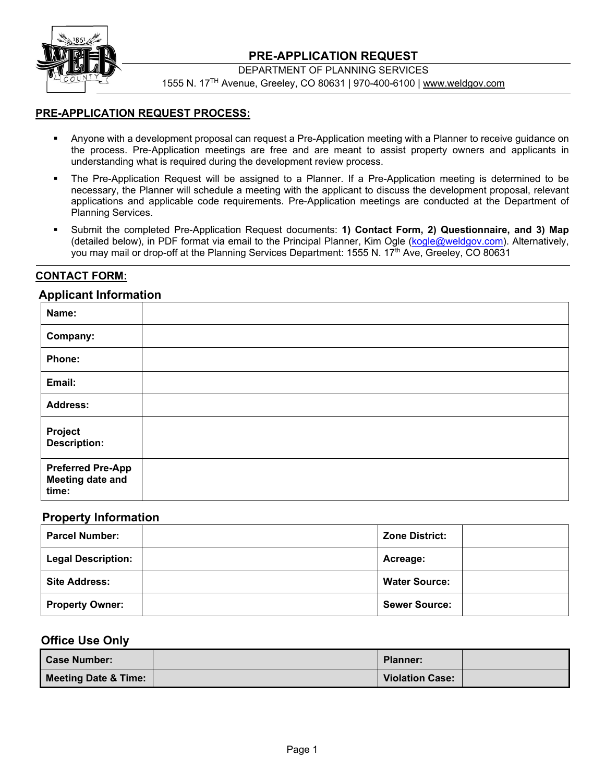

## **PRE-APPLICATION REQUEST**

DEPARTMENT OF PLANNING SERVICES

1555 N. 17TH Avenue, Greeley, CO 80631 | 970-400-6100 | www.weldgov.com

#### **PRE-APPLICATION REQUEST PROCESS:**

- Anyone with a development proposal can request a Pre-Application meeting with a Planner to receive guidance on the process. Pre-Application meetings are free and are meant to assist property owners and applicants in understanding what is required during the development review process.
- The Pre-Application Request will be assigned to a Planner. If a Pre-Application meeting is determined to be necessary, the Planner will schedule a meeting with the applicant to discuss the development proposal, relevant applications and applicable code requirements. Pre-Application meetings are conducted at the Department of Planning Services.
- Submit the completed Pre-Application Request documents: **1) Contact Form, 2) Questionnaire, and 3) Map** (detailed below), in PDF format via email to the Principal Planner, Kim Ogle (kogle@weldgov.com). Alternatively, you may mail or drop-off at the Planning Services Department: 1555 N. 17<sup>th</sup> Ave, Greeley, CO 80631

## **CONTACT FORM:**

#### **Applicant Information**

| Name:                                                 |  |
|-------------------------------------------------------|--|
| Company:                                              |  |
| Phone:                                                |  |
| Email:                                                |  |
| <b>Address:</b>                                       |  |
| Project<br>Description:                               |  |
| <b>Preferred Pre-App</b><br>Meeting date and<br>time: |  |

#### **Property Information**

| <b>Parcel Number:</b>     | <b>Zone District:</b> |
|---------------------------|-----------------------|
| <b>Legal Description:</b> | Acreage:              |
| <b>Site Address:</b>      | <b>Water Source:</b>  |
| <b>Property Owner:</b>    | <b>Sewer Source:</b>  |

#### **Office Use Only**

| <b>Case Number:</b>             | <b>Planner:</b>        |  |
|---------------------------------|------------------------|--|
| <b>Meeting Date &amp; Time:</b> | <b>Violation Case:</b> |  |